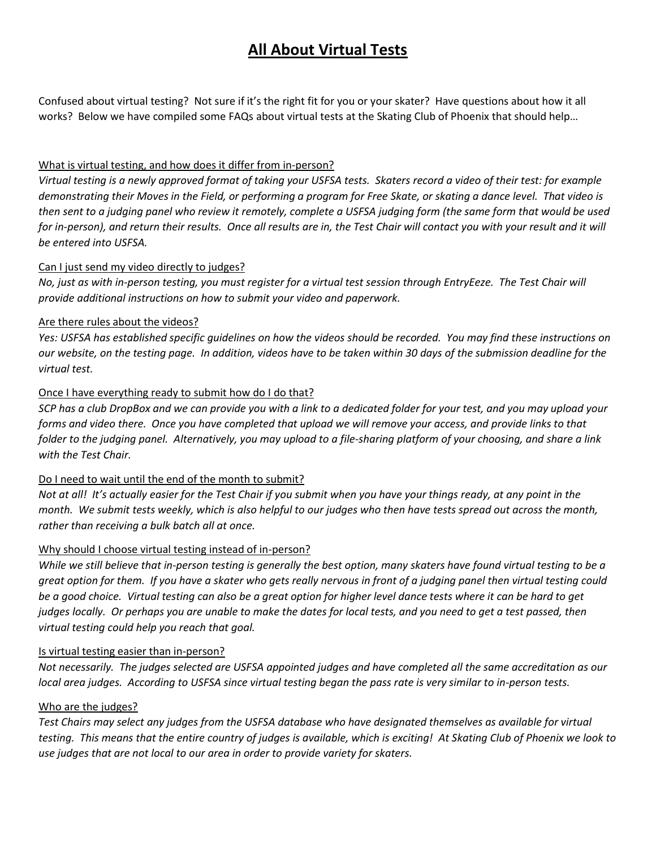# **All About Virtual Tests**

Confused about virtual testing? Not sure if it's the right fit for you or your skater? Have questions about how it all works? Below we have compiled some FAQs about virtual tests at the Skating Club of Phoenix that should help…

## What is virtual testing, and how does it differ from in-person?

*Virtual testing is a newly approved format of taking your USFSA tests. Skaters record a video of their test: for example demonstrating their Moves in the Field, or performing a program for Free Skate, or skating a dance level. That video is then sent to a judging panel who review it remotely, complete a USFSA judging form (the same form that would be used for in-person), and return their results. Once all results are in, the Test Chair will contact you with your result and it will be entered into USFSA.* 

### Can I just send my video directly to judges?

*No, just as with in-person testing, you must register for a virtual test session through EntryEeze. The Test Chair will provide additional instructions on how to submit your video and paperwork.*

### Are there rules about the videos?

*Yes: USFSA has established specific guidelines on how the videos should be recorded. You may find these instructions on our website, on the testing page. In addition, videos have to be taken within 30 days of the submission deadline for the virtual test.* 

### Once I have everything ready to submit how do I do that?

*SCP has a club DropBox and we can provide you with a link to a dedicated folder for your test, and you may upload your forms and video there. Once you have completed that upload we will remove your access, and provide links to that folder to the judging panel. Alternatively, you may upload to a file-sharing platform of your choosing, and share a link with the Test Chair.*

# Do I need to wait until the end of the month to submit?

*Not at all! It's actually easier for the Test Chair if you submit when you have your things ready, at any point in the month. We submit tests weekly, which is also helpful to our judges who then have tests spread out across the month, rather than receiving a bulk batch all at once.*

# Why should I choose virtual testing instead of in-person?

*While we still believe that in-person testing is generally the best option, many skaters have found virtual testing to be a great option for them. If you have a skater who gets really nervous in front of a judging panel then virtual testing could be a good choice. Virtual testing can also be a great option for higher level dance tests where it can be hard to get judges locally. Or perhaps you are unable to make the dates for local tests, and you need to get a test passed, then virtual testing could help you reach that goal.*

#### Is virtual testing easier than in-person?

*Not necessarily. The judges selected are USFSA appointed judges and have completed all the same accreditation as our local area judges. According to USFSA since virtual testing began the pass rate is very similar to in-person tests.* 

#### Who are the judges?

*Test Chairs may select any judges from the USFSA database who have designated themselves as available for virtual testing. This means that the entire country of judges is available, which is exciting! At Skating Club of Phoenix we look to use judges that are not local to our area in order to provide variety for skaters.*